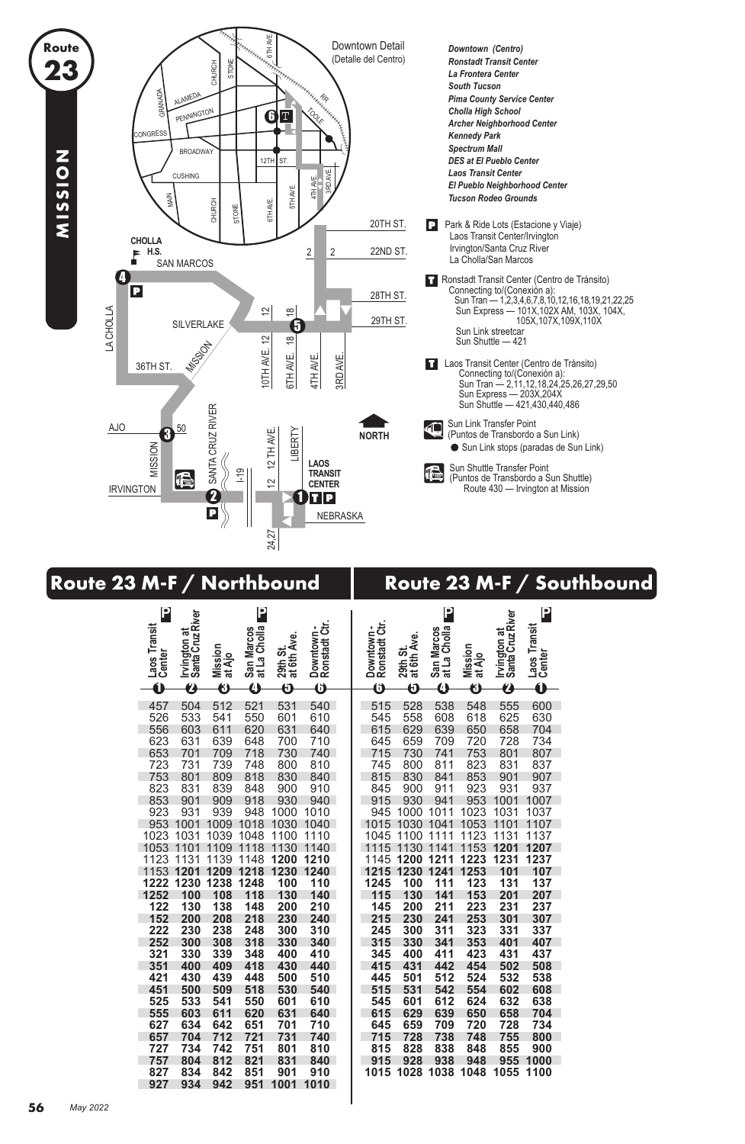

## **Route 23 M-F / Northbound Route 23 M-F / Southbound**

| $\mathbf 0$<br>$\boldsymbol{\theta}$<br>6<br>0<br>$\overline{\bm{0}}$<br>6<br>Õ<br>$\overline{\bf{O}}$<br>$\overline{\bm{\Theta}}$<br>$\boldsymbol{\vartheta}$<br>❸<br>0<br>540<br>538<br>548<br>555<br>600<br>457<br>504<br>512<br>521<br>531<br>515<br>528<br>630<br>526<br>533<br>541<br>550<br>601<br>610<br>545<br>558<br>608<br>625<br>618<br>620<br>615<br>603<br>611<br>631<br>629<br>639<br>658<br>704<br>556<br>640<br>650<br>623<br>659<br>728<br>734<br>631<br>639<br>648<br>700<br>710<br>645<br>709<br>720<br>653<br>718<br>715<br>730<br>741<br>753<br>807<br>701<br>709<br>730<br>740<br>801<br>723<br>739<br>748<br>823<br>831<br>731<br>800<br>810<br>745<br>800<br>811<br>837<br>753<br>818<br>830<br>815<br>830<br>841<br>853<br>901<br>907<br>801<br>809<br>840<br>823<br>839<br>923<br>931<br>937<br>831<br>848<br>900<br>910<br>845<br>900<br>911<br>853<br>953<br>901<br>909<br>918<br>930<br>940<br>915<br>930<br>941<br>1001<br>1007<br>923<br>931<br>939<br>948<br>1010<br>945<br>1000<br>1011<br>1023<br>1031<br>1037<br>1000<br>1053<br>953<br>1001<br>1009<br>1018<br>1030<br>1040<br>1015<br>1030<br>1041<br>1101<br>1107<br>1031<br>1039<br>1048<br>1111<br>1123<br>1153<br>1131<br>1023<br>1100<br>1110<br>1045<br>1100<br>1137<br>1053<br>1109<br>1118<br>1130<br>1140<br>1115<br>1130<br>1141<br>1201<br>1207<br>1101<br>1123<br>1139<br>1145<br>1223<br>1231<br>1237<br>1131<br>1148<br>1200<br>1210<br>1200<br>1211<br>1240<br>1253<br>101<br>1153<br>1209<br>1218<br>1230<br>1215<br>1230<br>1241<br>107<br>1201<br>123<br>1248<br>1245<br>131<br>137<br>1222<br>1230<br>1238<br>100<br>110<br>100<br>111<br>1252<br>118<br>115<br>153<br>201<br>207<br>100<br>108<br>130<br>140<br>130<br>141<br>122<br>223<br>130<br>138<br>148<br>200<br>210<br>145<br>200<br>211<br>231<br>237<br>218<br>215<br>230<br>241<br>253<br>301<br>152<br>200<br>208<br>230<br>240<br>307<br>323<br>222<br>230<br>238<br>248<br>300<br>310<br>245<br>300<br>311<br>331<br>337<br>252<br>300<br>318<br>315<br>330<br>353<br>401<br>308<br>330<br>340<br>341<br>407<br>321<br>423<br>330<br>339<br>348<br>400<br>410<br>345<br>400<br>411<br>431<br>437<br>418<br>415<br>508<br>351<br>400<br>409<br>431<br>454<br>502<br>430<br>440<br>442<br>538<br>430<br>439<br>448<br>500<br>501<br>512<br>524<br>532<br>421<br>510<br>445<br>518<br>515<br>531<br>608<br>451<br>500<br>509<br>530<br>540<br>542<br>554<br>602<br>525<br>533<br>541<br>550<br>545<br>601<br>612<br>624<br>632<br>638<br>601<br>610<br>555<br>603<br>611<br>620<br>615<br>639<br>658<br>631<br>640<br>629<br>650<br>704<br>634<br>651<br>734<br>627<br>642<br>701<br>710<br>645<br>659<br>709<br>720<br>728<br>704<br>712<br>721<br>715<br>728<br>738<br>755<br>800<br>657<br>731<br>740<br>748<br>734<br>742<br>900<br>727<br>751<br>801<br>810<br>815<br>828<br>838<br>848<br>855<br>757<br>812<br>821<br>915<br>928<br>938<br>955<br>804<br>831<br>840<br>948<br>1000<br>1038<br>834<br>851<br>901<br>910<br>1015<br>1028<br>1048<br>1055<br>1100<br>827<br>842<br>934<br>951<br>1010<br>927<br>942<br>1001 | P<br>Laos Transit<br>Center | Irvington at<br>Santa Cruz River | Mission<br>at Ajo | P<br>at La Cholla<br>San Marcos | 29th St.<br>at 6th Ave. | Downtown -<br>Ronstadt Ctr. | Downtown -<br>Ronstadt Ctr. | at 6th Ave.<br>29th St. | P<br>at La Cholla<br>San Marcos | Mission<br>at Ajo | Irvington at<br>Santa Cruz River | P<br>Laos Transit<br>Center |  |
|-----------------------------------------------------------------------------------------------------------------------------------------------------------------------------------------------------------------------------------------------------------------------------------------------------------------------------------------------------------------------------------------------------------------------------------------------------------------------------------------------------------------------------------------------------------------------------------------------------------------------------------------------------------------------------------------------------------------------------------------------------------------------------------------------------------------------------------------------------------------------------------------------------------------------------------------------------------------------------------------------------------------------------------------------------------------------------------------------------------------------------------------------------------------------------------------------------------------------------------------------------------------------------------------------------------------------------------------------------------------------------------------------------------------------------------------------------------------------------------------------------------------------------------------------------------------------------------------------------------------------------------------------------------------------------------------------------------------------------------------------------------------------------------------------------------------------------------------------------------------------------------------------------------------------------------------------------------------------------------------------------------------------------------------------------------------------------------------------------------------------------------------------------------------------------------------------------------------------------------------------------------------------------------------------------------------------------------------------------------------------------------------------------------------------------------------------------------------------------------------------------------------------------------------------------------------------------------------------------------------------------------------------------------------------------------------------------------------------------------------------------------------------------------------------------------------------------------------------------------------------------------------------------------------------------------------------------------------------------------------------------------------------------------------------------------------------------------------------------|-----------------------------|----------------------------------|-------------------|---------------------------------|-------------------------|-----------------------------|-----------------------------|-------------------------|---------------------------------|-------------------|----------------------------------|-----------------------------|--|
|                                                                                                                                                                                                                                                                                                                                                                                                                                                                                                                                                                                                                                                                                                                                                                                                                                                                                                                                                                                                                                                                                                                                                                                                                                                                                                                                                                                                                                                                                                                                                                                                                                                                                                                                                                                                                                                                                                                                                                                                                                                                                                                                                                                                                                                                                                                                                                                                                                                                                                                                                                                                                                                                                                                                                                                                                                                                                                                                                                                                                                                                                                     |                             |                                  |                   |                                 |                         |                             |                             |                         |                                 |                   |                                  |                             |  |
|                                                                                                                                                                                                                                                                                                                                                                                                                                                                                                                                                                                                                                                                                                                                                                                                                                                                                                                                                                                                                                                                                                                                                                                                                                                                                                                                                                                                                                                                                                                                                                                                                                                                                                                                                                                                                                                                                                                                                                                                                                                                                                                                                                                                                                                                                                                                                                                                                                                                                                                                                                                                                                                                                                                                                                                                                                                                                                                                                                                                                                                                                                     |                             |                                  |                   |                                 |                         |                             |                             |                         |                                 |                   |                                  |                             |  |
|                                                                                                                                                                                                                                                                                                                                                                                                                                                                                                                                                                                                                                                                                                                                                                                                                                                                                                                                                                                                                                                                                                                                                                                                                                                                                                                                                                                                                                                                                                                                                                                                                                                                                                                                                                                                                                                                                                                                                                                                                                                                                                                                                                                                                                                                                                                                                                                                                                                                                                                                                                                                                                                                                                                                                                                                                                                                                                                                                                                                                                                                                                     |                             |                                  |                   |                                 |                         |                             |                             |                         |                                 |                   |                                  |                             |  |
|                                                                                                                                                                                                                                                                                                                                                                                                                                                                                                                                                                                                                                                                                                                                                                                                                                                                                                                                                                                                                                                                                                                                                                                                                                                                                                                                                                                                                                                                                                                                                                                                                                                                                                                                                                                                                                                                                                                                                                                                                                                                                                                                                                                                                                                                                                                                                                                                                                                                                                                                                                                                                                                                                                                                                                                                                                                                                                                                                                                                                                                                                                     |                             |                                  |                   |                                 |                         |                             |                             |                         |                                 |                   |                                  |                             |  |
|                                                                                                                                                                                                                                                                                                                                                                                                                                                                                                                                                                                                                                                                                                                                                                                                                                                                                                                                                                                                                                                                                                                                                                                                                                                                                                                                                                                                                                                                                                                                                                                                                                                                                                                                                                                                                                                                                                                                                                                                                                                                                                                                                                                                                                                                                                                                                                                                                                                                                                                                                                                                                                                                                                                                                                                                                                                                                                                                                                                                                                                                                                     |                             |                                  |                   |                                 |                         |                             |                             |                         |                                 |                   |                                  |                             |  |
|                                                                                                                                                                                                                                                                                                                                                                                                                                                                                                                                                                                                                                                                                                                                                                                                                                                                                                                                                                                                                                                                                                                                                                                                                                                                                                                                                                                                                                                                                                                                                                                                                                                                                                                                                                                                                                                                                                                                                                                                                                                                                                                                                                                                                                                                                                                                                                                                                                                                                                                                                                                                                                                                                                                                                                                                                                                                                                                                                                                                                                                                                                     |                             |                                  |                   |                                 |                         |                             |                             |                         |                                 |                   |                                  |                             |  |
|                                                                                                                                                                                                                                                                                                                                                                                                                                                                                                                                                                                                                                                                                                                                                                                                                                                                                                                                                                                                                                                                                                                                                                                                                                                                                                                                                                                                                                                                                                                                                                                                                                                                                                                                                                                                                                                                                                                                                                                                                                                                                                                                                                                                                                                                                                                                                                                                                                                                                                                                                                                                                                                                                                                                                                                                                                                                                                                                                                                                                                                                                                     |                             |                                  |                   |                                 |                         |                             |                             |                         |                                 |                   |                                  |                             |  |
|                                                                                                                                                                                                                                                                                                                                                                                                                                                                                                                                                                                                                                                                                                                                                                                                                                                                                                                                                                                                                                                                                                                                                                                                                                                                                                                                                                                                                                                                                                                                                                                                                                                                                                                                                                                                                                                                                                                                                                                                                                                                                                                                                                                                                                                                                                                                                                                                                                                                                                                                                                                                                                                                                                                                                                                                                                                                                                                                                                                                                                                                                                     |                             |                                  |                   |                                 |                         |                             |                             |                         |                                 |                   |                                  |                             |  |
|                                                                                                                                                                                                                                                                                                                                                                                                                                                                                                                                                                                                                                                                                                                                                                                                                                                                                                                                                                                                                                                                                                                                                                                                                                                                                                                                                                                                                                                                                                                                                                                                                                                                                                                                                                                                                                                                                                                                                                                                                                                                                                                                                                                                                                                                                                                                                                                                                                                                                                                                                                                                                                                                                                                                                                                                                                                                                                                                                                                                                                                                                                     |                             |                                  |                   |                                 |                         |                             |                             |                         |                                 |                   |                                  |                             |  |
|                                                                                                                                                                                                                                                                                                                                                                                                                                                                                                                                                                                                                                                                                                                                                                                                                                                                                                                                                                                                                                                                                                                                                                                                                                                                                                                                                                                                                                                                                                                                                                                                                                                                                                                                                                                                                                                                                                                                                                                                                                                                                                                                                                                                                                                                                                                                                                                                                                                                                                                                                                                                                                                                                                                                                                                                                                                                                                                                                                                                                                                                                                     |                             |                                  |                   |                                 |                         |                             |                             |                         |                                 |                   |                                  |                             |  |
|                                                                                                                                                                                                                                                                                                                                                                                                                                                                                                                                                                                                                                                                                                                                                                                                                                                                                                                                                                                                                                                                                                                                                                                                                                                                                                                                                                                                                                                                                                                                                                                                                                                                                                                                                                                                                                                                                                                                                                                                                                                                                                                                                                                                                                                                                                                                                                                                                                                                                                                                                                                                                                                                                                                                                                                                                                                                                                                                                                                                                                                                                                     |                             |                                  |                   |                                 |                         |                             |                             |                         |                                 |                   |                                  |                             |  |
|                                                                                                                                                                                                                                                                                                                                                                                                                                                                                                                                                                                                                                                                                                                                                                                                                                                                                                                                                                                                                                                                                                                                                                                                                                                                                                                                                                                                                                                                                                                                                                                                                                                                                                                                                                                                                                                                                                                                                                                                                                                                                                                                                                                                                                                                                                                                                                                                                                                                                                                                                                                                                                                                                                                                                                                                                                                                                                                                                                                                                                                                                                     |                             |                                  |                   |                                 |                         |                             |                             |                         |                                 |                   |                                  |                             |  |
|                                                                                                                                                                                                                                                                                                                                                                                                                                                                                                                                                                                                                                                                                                                                                                                                                                                                                                                                                                                                                                                                                                                                                                                                                                                                                                                                                                                                                                                                                                                                                                                                                                                                                                                                                                                                                                                                                                                                                                                                                                                                                                                                                                                                                                                                                                                                                                                                                                                                                                                                                                                                                                                                                                                                                                                                                                                                                                                                                                                                                                                                                                     |                             |                                  |                   |                                 |                         |                             |                             |                         |                                 |                   |                                  |                             |  |
|                                                                                                                                                                                                                                                                                                                                                                                                                                                                                                                                                                                                                                                                                                                                                                                                                                                                                                                                                                                                                                                                                                                                                                                                                                                                                                                                                                                                                                                                                                                                                                                                                                                                                                                                                                                                                                                                                                                                                                                                                                                                                                                                                                                                                                                                                                                                                                                                                                                                                                                                                                                                                                                                                                                                                                                                                                                                                                                                                                                                                                                                                                     |                             |                                  |                   |                                 |                         |                             |                             |                         |                                 |                   |                                  |                             |  |
|                                                                                                                                                                                                                                                                                                                                                                                                                                                                                                                                                                                                                                                                                                                                                                                                                                                                                                                                                                                                                                                                                                                                                                                                                                                                                                                                                                                                                                                                                                                                                                                                                                                                                                                                                                                                                                                                                                                                                                                                                                                                                                                                                                                                                                                                                                                                                                                                                                                                                                                                                                                                                                                                                                                                                                                                                                                                                                                                                                                                                                                                                                     |                             |                                  |                   |                                 |                         |                             |                             |                         |                                 |                   |                                  |                             |  |
|                                                                                                                                                                                                                                                                                                                                                                                                                                                                                                                                                                                                                                                                                                                                                                                                                                                                                                                                                                                                                                                                                                                                                                                                                                                                                                                                                                                                                                                                                                                                                                                                                                                                                                                                                                                                                                                                                                                                                                                                                                                                                                                                                                                                                                                                                                                                                                                                                                                                                                                                                                                                                                                                                                                                                                                                                                                                                                                                                                                                                                                                                                     |                             |                                  |                   |                                 |                         |                             |                             |                         |                                 |                   |                                  |                             |  |
|                                                                                                                                                                                                                                                                                                                                                                                                                                                                                                                                                                                                                                                                                                                                                                                                                                                                                                                                                                                                                                                                                                                                                                                                                                                                                                                                                                                                                                                                                                                                                                                                                                                                                                                                                                                                                                                                                                                                                                                                                                                                                                                                                                                                                                                                                                                                                                                                                                                                                                                                                                                                                                                                                                                                                                                                                                                                                                                                                                                                                                                                                                     |                             |                                  |                   |                                 |                         |                             |                             |                         |                                 |                   |                                  |                             |  |
|                                                                                                                                                                                                                                                                                                                                                                                                                                                                                                                                                                                                                                                                                                                                                                                                                                                                                                                                                                                                                                                                                                                                                                                                                                                                                                                                                                                                                                                                                                                                                                                                                                                                                                                                                                                                                                                                                                                                                                                                                                                                                                                                                                                                                                                                                                                                                                                                                                                                                                                                                                                                                                                                                                                                                                                                                                                                                                                                                                                                                                                                                                     |                             |                                  |                   |                                 |                         |                             |                             |                         |                                 |                   |                                  |                             |  |
|                                                                                                                                                                                                                                                                                                                                                                                                                                                                                                                                                                                                                                                                                                                                                                                                                                                                                                                                                                                                                                                                                                                                                                                                                                                                                                                                                                                                                                                                                                                                                                                                                                                                                                                                                                                                                                                                                                                                                                                                                                                                                                                                                                                                                                                                                                                                                                                                                                                                                                                                                                                                                                                                                                                                                                                                                                                                                                                                                                                                                                                                                                     |                             |                                  |                   |                                 |                         |                             |                             |                         |                                 |                   |                                  |                             |  |
|                                                                                                                                                                                                                                                                                                                                                                                                                                                                                                                                                                                                                                                                                                                                                                                                                                                                                                                                                                                                                                                                                                                                                                                                                                                                                                                                                                                                                                                                                                                                                                                                                                                                                                                                                                                                                                                                                                                                                                                                                                                                                                                                                                                                                                                                                                                                                                                                                                                                                                                                                                                                                                                                                                                                                                                                                                                                                                                                                                                                                                                                                                     |                             |                                  |                   |                                 |                         |                             |                             |                         |                                 |                   |                                  |                             |  |
|                                                                                                                                                                                                                                                                                                                                                                                                                                                                                                                                                                                                                                                                                                                                                                                                                                                                                                                                                                                                                                                                                                                                                                                                                                                                                                                                                                                                                                                                                                                                                                                                                                                                                                                                                                                                                                                                                                                                                                                                                                                                                                                                                                                                                                                                                                                                                                                                                                                                                                                                                                                                                                                                                                                                                                                                                                                                                                                                                                                                                                                                                                     |                             |                                  |                   |                                 |                         |                             |                             |                         |                                 |                   |                                  |                             |  |
|                                                                                                                                                                                                                                                                                                                                                                                                                                                                                                                                                                                                                                                                                                                                                                                                                                                                                                                                                                                                                                                                                                                                                                                                                                                                                                                                                                                                                                                                                                                                                                                                                                                                                                                                                                                                                                                                                                                                                                                                                                                                                                                                                                                                                                                                                                                                                                                                                                                                                                                                                                                                                                                                                                                                                                                                                                                                                                                                                                                                                                                                                                     |                             |                                  |                   |                                 |                         |                             |                             |                         |                                 |                   |                                  |                             |  |
|                                                                                                                                                                                                                                                                                                                                                                                                                                                                                                                                                                                                                                                                                                                                                                                                                                                                                                                                                                                                                                                                                                                                                                                                                                                                                                                                                                                                                                                                                                                                                                                                                                                                                                                                                                                                                                                                                                                                                                                                                                                                                                                                                                                                                                                                                                                                                                                                                                                                                                                                                                                                                                                                                                                                                                                                                                                                                                                                                                                                                                                                                                     |                             |                                  |                   |                                 |                         |                             |                             |                         |                                 |                   |                                  |                             |  |
|                                                                                                                                                                                                                                                                                                                                                                                                                                                                                                                                                                                                                                                                                                                                                                                                                                                                                                                                                                                                                                                                                                                                                                                                                                                                                                                                                                                                                                                                                                                                                                                                                                                                                                                                                                                                                                                                                                                                                                                                                                                                                                                                                                                                                                                                                                                                                                                                                                                                                                                                                                                                                                                                                                                                                                                                                                                                                                                                                                                                                                                                                                     |                             |                                  |                   |                                 |                         |                             |                             |                         |                                 |                   |                                  |                             |  |
|                                                                                                                                                                                                                                                                                                                                                                                                                                                                                                                                                                                                                                                                                                                                                                                                                                                                                                                                                                                                                                                                                                                                                                                                                                                                                                                                                                                                                                                                                                                                                                                                                                                                                                                                                                                                                                                                                                                                                                                                                                                                                                                                                                                                                                                                                                                                                                                                                                                                                                                                                                                                                                                                                                                                                                                                                                                                                                                                                                                                                                                                                                     |                             |                                  |                   |                                 |                         |                             |                             |                         |                                 |                   |                                  |                             |  |
|                                                                                                                                                                                                                                                                                                                                                                                                                                                                                                                                                                                                                                                                                                                                                                                                                                                                                                                                                                                                                                                                                                                                                                                                                                                                                                                                                                                                                                                                                                                                                                                                                                                                                                                                                                                                                                                                                                                                                                                                                                                                                                                                                                                                                                                                                                                                                                                                                                                                                                                                                                                                                                                                                                                                                                                                                                                                                                                                                                                                                                                                                                     |                             |                                  |                   |                                 |                         |                             |                             |                         |                                 |                   |                                  |                             |  |
|                                                                                                                                                                                                                                                                                                                                                                                                                                                                                                                                                                                                                                                                                                                                                                                                                                                                                                                                                                                                                                                                                                                                                                                                                                                                                                                                                                                                                                                                                                                                                                                                                                                                                                                                                                                                                                                                                                                                                                                                                                                                                                                                                                                                                                                                                                                                                                                                                                                                                                                                                                                                                                                                                                                                                                                                                                                                                                                                                                                                                                                                                                     |                             |                                  |                   |                                 |                         |                             |                             |                         |                                 |                   |                                  |                             |  |
|                                                                                                                                                                                                                                                                                                                                                                                                                                                                                                                                                                                                                                                                                                                                                                                                                                                                                                                                                                                                                                                                                                                                                                                                                                                                                                                                                                                                                                                                                                                                                                                                                                                                                                                                                                                                                                                                                                                                                                                                                                                                                                                                                                                                                                                                                                                                                                                                                                                                                                                                                                                                                                                                                                                                                                                                                                                                                                                                                                                                                                                                                                     |                             |                                  |                   |                                 |                         |                             |                             |                         |                                 |                   |                                  |                             |  |
|                                                                                                                                                                                                                                                                                                                                                                                                                                                                                                                                                                                                                                                                                                                                                                                                                                                                                                                                                                                                                                                                                                                                                                                                                                                                                                                                                                                                                                                                                                                                                                                                                                                                                                                                                                                                                                                                                                                                                                                                                                                                                                                                                                                                                                                                                                                                                                                                                                                                                                                                                                                                                                                                                                                                                                                                                                                                                                                                                                                                                                                                                                     |                             |                                  |                   |                                 |                         |                             |                             |                         |                                 |                   |                                  |                             |  |
|                                                                                                                                                                                                                                                                                                                                                                                                                                                                                                                                                                                                                                                                                                                                                                                                                                                                                                                                                                                                                                                                                                                                                                                                                                                                                                                                                                                                                                                                                                                                                                                                                                                                                                                                                                                                                                                                                                                                                                                                                                                                                                                                                                                                                                                                                                                                                                                                                                                                                                                                                                                                                                                                                                                                                                                                                                                                                                                                                                                                                                                                                                     |                             |                                  |                   |                                 |                         |                             |                             |                         |                                 |                   |                                  |                             |  |
|                                                                                                                                                                                                                                                                                                                                                                                                                                                                                                                                                                                                                                                                                                                                                                                                                                                                                                                                                                                                                                                                                                                                                                                                                                                                                                                                                                                                                                                                                                                                                                                                                                                                                                                                                                                                                                                                                                                                                                                                                                                                                                                                                                                                                                                                                                                                                                                                                                                                                                                                                                                                                                                                                                                                                                                                                                                                                                                                                                                                                                                                                                     |                             |                                  |                   |                                 |                         |                             |                             |                         |                                 |                   |                                  |                             |  |
|                                                                                                                                                                                                                                                                                                                                                                                                                                                                                                                                                                                                                                                                                                                                                                                                                                                                                                                                                                                                                                                                                                                                                                                                                                                                                                                                                                                                                                                                                                                                                                                                                                                                                                                                                                                                                                                                                                                                                                                                                                                                                                                                                                                                                                                                                                                                                                                                                                                                                                                                                                                                                                                                                                                                                                                                                                                                                                                                                                                                                                                                                                     |                             |                                  |                   |                                 |                         |                             |                             |                         |                                 |                   |                                  |                             |  |
|                                                                                                                                                                                                                                                                                                                                                                                                                                                                                                                                                                                                                                                                                                                                                                                                                                                                                                                                                                                                                                                                                                                                                                                                                                                                                                                                                                                                                                                                                                                                                                                                                                                                                                                                                                                                                                                                                                                                                                                                                                                                                                                                                                                                                                                                                                                                                                                                                                                                                                                                                                                                                                                                                                                                                                                                                                                                                                                                                                                                                                                                                                     |                             |                                  |                   |                                 |                         |                             |                             |                         |                                 |                   |                                  |                             |  |
|                                                                                                                                                                                                                                                                                                                                                                                                                                                                                                                                                                                                                                                                                                                                                                                                                                                                                                                                                                                                                                                                                                                                                                                                                                                                                                                                                                                                                                                                                                                                                                                                                                                                                                                                                                                                                                                                                                                                                                                                                                                                                                                                                                                                                                                                                                                                                                                                                                                                                                                                                                                                                                                                                                                                                                                                                                                                                                                                                                                                                                                                                                     |                             |                                  |                   |                                 |                         |                             |                             |                         |                                 |                   |                                  |                             |  |
|                                                                                                                                                                                                                                                                                                                                                                                                                                                                                                                                                                                                                                                                                                                                                                                                                                                                                                                                                                                                                                                                                                                                                                                                                                                                                                                                                                                                                                                                                                                                                                                                                                                                                                                                                                                                                                                                                                                                                                                                                                                                                                                                                                                                                                                                                                                                                                                                                                                                                                                                                                                                                                                                                                                                                                                                                                                                                                                                                                                                                                                                                                     |                             |                                  |                   |                                 |                         |                             |                             |                         |                                 |                   |                                  |                             |  |